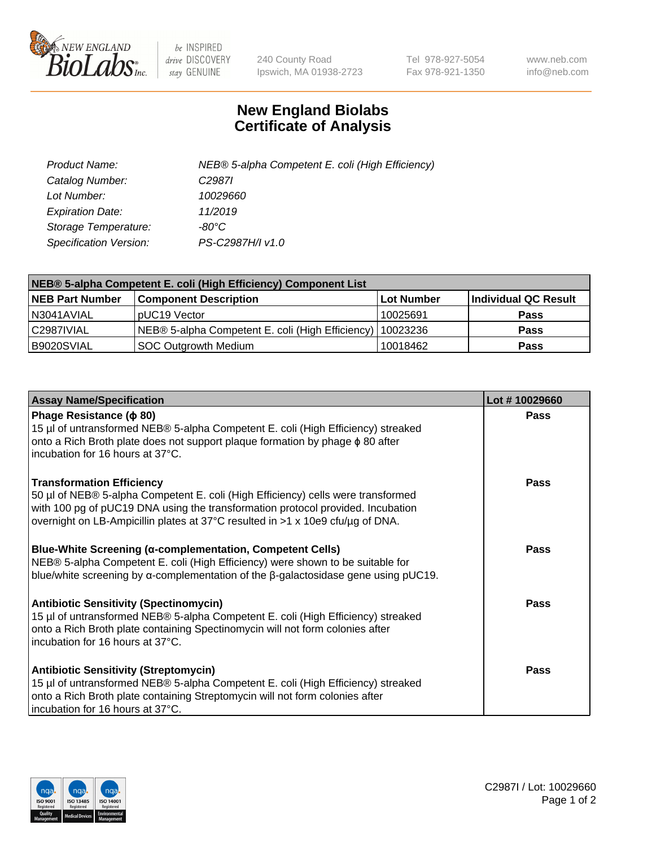

 $be$  INSPIRED drive DISCOVERY stay GENUINE

240 County Road Ipswich, MA 01938-2723 Tel 978-927-5054 Fax 978-921-1350 www.neb.com info@neb.com

## **New England Biolabs Certificate of Analysis**

| Product Name:           | NEB® 5-alpha Competent E. coli (High Efficiency) |
|-------------------------|--------------------------------------------------|
| Catalog Number:         | C <sub>2987</sub>                                |
| Lot Number:             | 10029660                                         |
| <b>Expiration Date:</b> | 11/2019                                          |
| Storage Temperature:    | -80°C                                            |
| Specification Version:  | PS-C2987H/I v1.0                                 |

| NEB® 5-alpha Competent E. coli (High Efficiency) Component List |                                                  |            |                      |  |
|-----------------------------------------------------------------|--------------------------------------------------|------------|----------------------|--|
| <b>NEB Part Number</b>                                          | <b>Component Description</b>                     | Lot Number | Individual QC Result |  |
| N3041AVIAL                                                      | pUC19 Vector                                     | 10025691   | <b>Pass</b>          |  |
| C2987IVIAL                                                      | NEB® 5-alpha Competent E. coli (High Efficiency) | 10023236   | <b>Pass</b>          |  |
| B9020SVIAL                                                      | SOC Outgrowth Medium                             | 10018462   | <b>Pass</b>          |  |

| <b>Assay Name/Specification</b>                                                                                                                                                                                                                                                           | Lot #10029660 |
|-------------------------------------------------------------------------------------------------------------------------------------------------------------------------------------------------------------------------------------------------------------------------------------------|---------------|
| Phage Resistance ( $\phi$ 80)<br>15 µl of untransformed NEB® 5-alpha Competent E. coli (High Efficiency) streaked<br>onto a Rich Broth plate does not support plaque formation by phage φ 80 after<br>incubation for 16 hours at 37°C.                                                    | <b>Pass</b>   |
| <b>Transformation Efficiency</b><br>50 µl of NEB® 5-alpha Competent E. coli (High Efficiency) cells were transformed<br>with 100 pg of pUC19 DNA using the transformation protocol provided. Incubation<br>overnight on LB-Ampicillin plates at 37°C resulted in >1 x 10e9 cfu/μg of DNA. | Pass          |
| <b>Blue-White Screening (α-complementation, Competent Cells)</b><br>NEB® 5-alpha Competent E. coli (High Efficiency) were shown to be suitable for<br>blue/white screening by $\alpha$ -complementation of the $\beta$ -galactosidase gene using pUC19.                                   | Pass          |
| <b>Antibiotic Sensitivity (Spectinomycin)</b><br>15 µl of untransformed NEB® 5-alpha Competent E. coli (High Efficiency) streaked<br>onto a Rich Broth plate containing Spectinomycin will not form colonies after<br>incubation for 16 hours at 37°C.                                    | <b>Pass</b>   |
| <b>Antibiotic Sensitivity (Streptomycin)</b><br>15 µl of untransformed NEB® 5-alpha Competent E. coli (High Efficiency) streaked<br>onto a Rich Broth plate containing Streptomycin will not form colonies after<br>incubation for 16 hours at 37°C.                                      | Pass          |